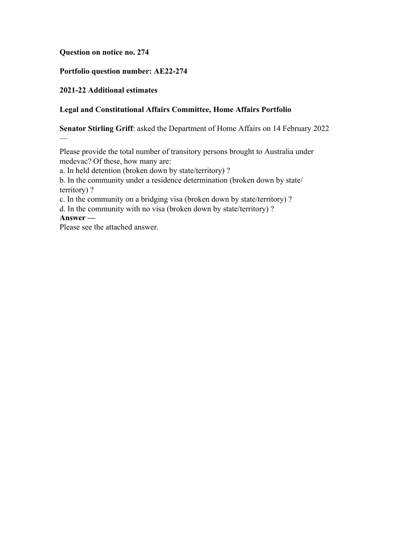## **Question on notice no. 274**

## **Portfolio question number: AE22-274**

#### **2021-22 Additional estimates**

#### **Legal and Constitutional Affairs Committee, Home Affairs Portfolio**

**Senator Stirling Griff**: asked the Department of Home Affairs on 14 February 2022

Please provide the total number of transitory persons brought to Australia under medevac? Of these, how many are:

a. In held detention (broken down by state/territory) ?

b. In the community under a residence determination (broken down by state/ territory) ?

c. In the community on a bridging visa (broken down by state/territory) ?

d. In the community with no visa (broken down by state/territory) ?

**Answer —**

—

Please see the attached answer.